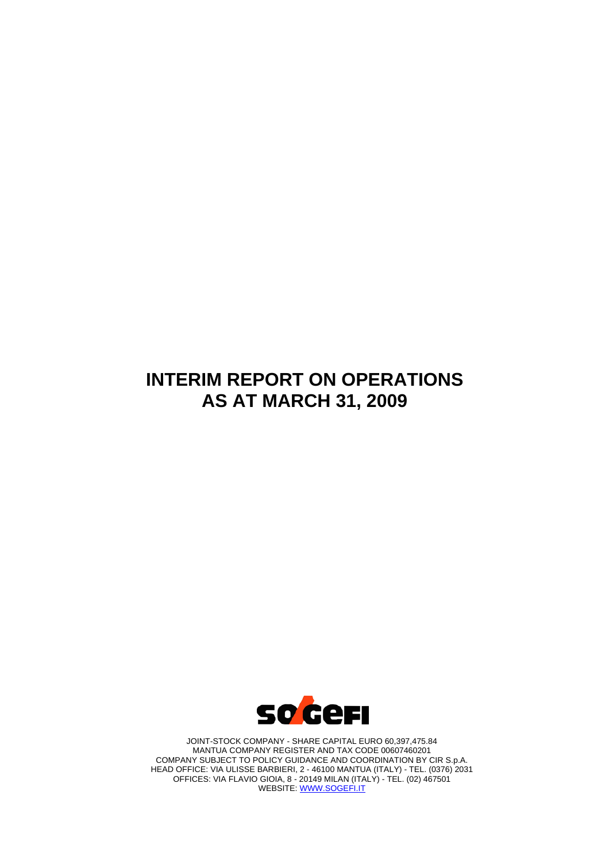# **INTERIM REPORT ON OPERATIONS AS AT MARCH 31, 2009**



JOINT-STOCK COMPANY - SHARE CAPITAL EURO 60,397,475.84 MANTUA COMPANY REGISTER AND TAX CODE 00607460201 COMPANY SUBJECT TO POLICY GUIDANCE AND COORDINATION BY CIR S.p.A. HEAD OFFICE: VIA ULISSE BARBIERI, 2 - 46100 MANTUA (ITALY) - TEL. (0376) 2031 OFFICES: VIA FLAVIO GIOIA, 8 - 20149 MILAN (ITALY) - TEL. (02) 467501 WEBSITE: [WWW.SOGEFI.IT](http://www.sogefi.it/)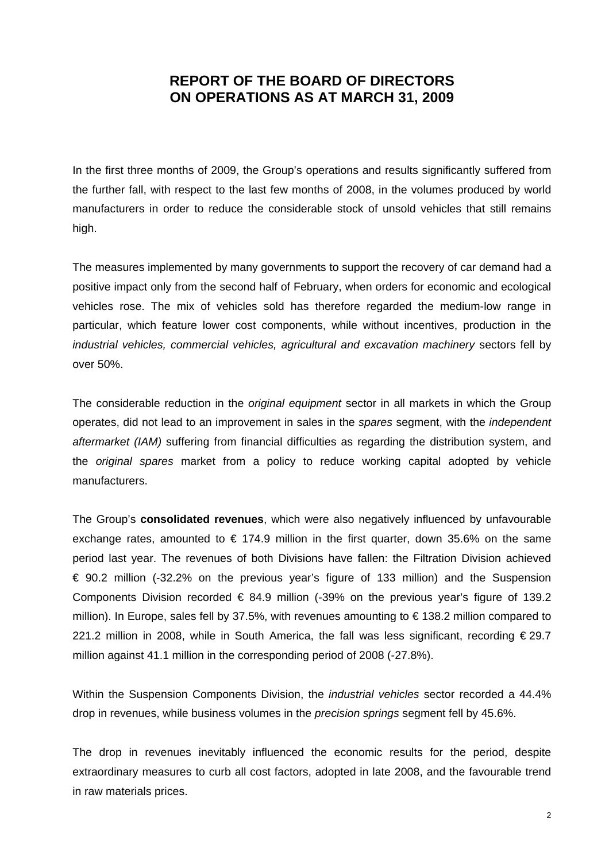# **REPORT OF THE BOARD OF DIRECTORS ON OPERATIONS AS AT MARCH 31, 2009**

In the first three months of 2009, the Group's operations and results significantly suffered from the further fall, with respect to the last few months of 2008, in the volumes produced by world manufacturers in order to reduce the considerable stock of unsold vehicles that still remains high.

The measures implemented by many governments to support the recovery of car demand had a positive impact only from the second half of February, when orders for economic and ecological vehicles rose. The mix of vehicles sold has therefore regarded the medium-low range in particular, which feature lower cost components, while without incentives, production in the industrial vehicles, commercial vehicles, agricultural and excavation machinery sectors fell by over 50%.

The considerable reduction in the *original equipment* sector in all markets in which the Group operates, did not lead to an improvement in sales in the *spares* segment, with the *independent aftermarket (IAM)* suffering from financial difficulties as regarding the distribution system, and the *original spares* market from a policy to reduce working capital adopted by vehicle manufacturers.

The Group's **consolidated revenues**, which were also negatively influenced by unfavourable exchange rates, amounted to  $\epsilon$  174.9 million in the first quarter, down 35.6% on the same period last year. The revenues of both Divisions have fallen: the Filtration Division achieved € 90.2 million (-32.2% on the previous year's figure of 133 million) and the Suspension Components Division recorded  $\epsilon$  84.9 million (-39% on the previous year's figure of 139.2 million). In Europe, sales fell by 37.5%, with revenues amounting to  $\epsilon$  138.2 million compared to 221.2 million in 2008, while in South America, the fall was less significant, recording €29.7 million against 41.1 million in the corresponding period of 2008 (-27.8%).

Within the Suspension Components Division, the *industrial vehicles* sector recorded a 44.4% drop in revenues, while business volumes in the *precision springs* segment fell by 45.6%.

The drop in revenues inevitably influenced the economic results for the period, despite extraordinary measures to curb all cost factors, adopted in late 2008, and the favourable trend in raw materials prices.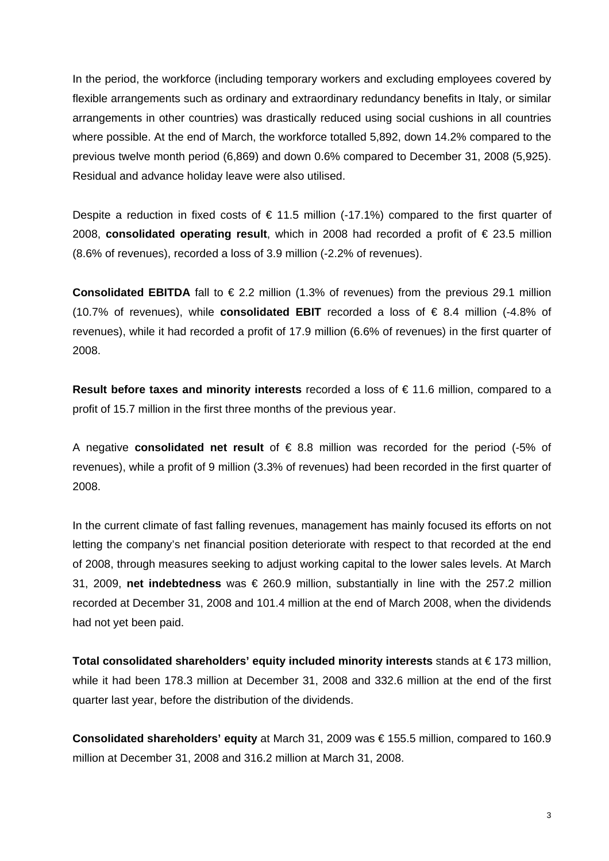In the period, the workforce (including temporary workers and excluding employees covered by flexible arrangements such as ordinary and extraordinary redundancy benefits in Italy, or similar arrangements in other countries) was drastically reduced using social cushions in all countries where possible. At the end of March, the workforce totalled 5,892, down 14.2% compared to the previous twelve month period (6,869) and down 0.6% compared to December 31, 2008 (5,925). Residual and advance holiday leave were also utilised.

Despite a reduction in fixed costs of  $\epsilon$  11.5 million (-17.1%) compared to the first quarter of 2008, **consolidated operating result**, which in 2008 had recorded a profit of € 23.5 million (8.6% of revenues), recorded a loss of 3.9 million (-2.2% of revenues).

**Consolidated EBITDA** fall to  $\epsilon$  2.2 million (1.3% of revenues) from the previous 29.1 million (10.7% of revenues), while **consolidated EBIT** recorded a loss of € 8.4 million (-4.8% of revenues), while it had recorded a profit of 17.9 million (6.6% of revenues) in the first quarter of 2008.

**Result before taxes and minority interests** recorded a loss of € 11.6 million, compared to a profit of 15.7 million in the first three months of the previous year.

A negative **consolidated net result** of € 8.8 million was recorded for the period (-5% of revenues), while a profit of 9 million (3.3% of revenues) had been recorded in the first quarter of 2008.

In the current climate of fast falling revenues, management has mainly focused its efforts on not letting the company's net financial position deteriorate with respect to that recorded at the end of 2008, through measures seeking to adjust working capital to the lower sales levels. At March 31, 2009, **net indebtedness** was € 260.9 million, substantially in line with the 257.2 million recorded at December 31, 2008 and 101.4 million at the end of March 2008, when the dividends had not yet been paid.

**Total consolidated shareholders' equity included minority interests** stands at € 173 million, while it had been 178.3 million at December 31, 2008 and 332.6 million at the end of the first quarter last year, before the distribution of the dividends.

**Consolidated shareholders' equity** at March 31, 2009 was € 155.5 million, compared to 160.9 million at December 31, 2008 and 316.2 million at March 31, 2008.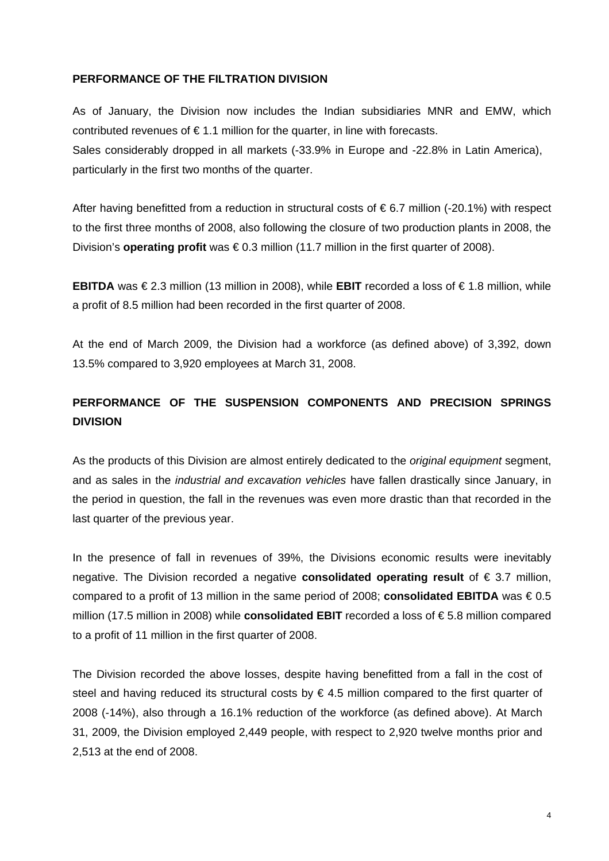#### **PERFORMANCE OF THE FILTRATION DIVISION**

As of January, the Division now includes the Indian subsidiaries MNR and EMW, which contributed revenues of  $\epsilon$  1.1 million for the quarter, in line with forecasts. Sales considerably dropped in all markets (-33.9% in Europe and -22.8% in Latin America), particularly in the first two months of the quarter.

After having benefitted from a reduction in structural costs of  $\epsilon$  6.7 million (-20.1%) with respect to the first three months of 2008, also following the closure of two production plants in 2008, the Division's **operating profit** was € 0.3 million (11.7 million in the first quarter of 2008).

**EBITDA** was € 2.3 million (13 million in 2008), while **EBIT** recorded a loss of € 1.8 million, while a profit of 8.5 million had been recorded in the first quarter of 2008.

At the end of March 2009, the Division had a workforce (as defined above) of 3,392, down 13.5% compared to 3,920 employees at March 31, 2008.

# **PERFORMANCE OF THE SUSPENSION COMPONENTS AND PRECISION SPRINGS DIVISION**

As the products of this Division are almost entirely dedicated to the *original equipment* segment, and as sales in the *industrial and excavation vehicles* have fallen drastically since January, in the period in question, the fall in the revenues was even more drastic than that recorded in the last quarter of the previous year.

In the presence of fall in revenues of 39%, the Divisions economic results were inevitably negative. The Division recorded a negative **consolidated operating result** of € 3.7 million, compared to a profit of 13 million in the same period of 2008; **consolidated EBITDA** was € 0.5 million (17.5 million in 2008) while **consolidated EBIT** recorded a loss of € 5.8 million compared to a profit of 11 million in the first quarter of 2008.

The Division recorded the above losses, despite having benefitted from a fall in the cost of steel and having reduced its structural costs by  $\epsilon$  4.5 million compared to the first quarter of 2008 (-14%), also through a 16.1% reduction of the workforce (as defined above). At March 31, 2009, the Division employed 2,449 people, with respect to 2,920 twelve months prior and 2,513 at the end of 2008.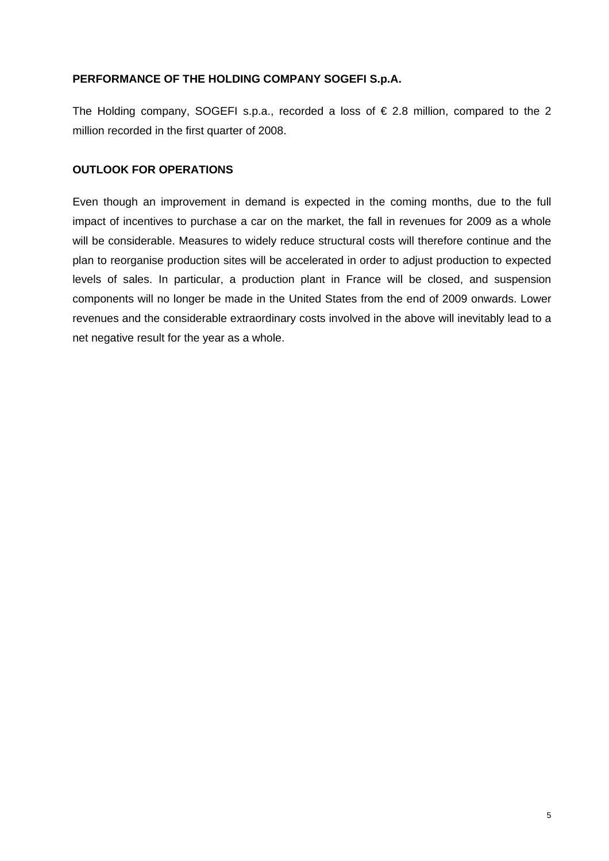### **PERFORMANCE OF THE HOLDING COMPANY SOGEFI S.p.A.**

The Holding company, SOGEFI s.p.a., recorded a loss of  $\epsilon$  2.8 million, compared to the 2 million recorded in the first quarter of 2008.

#### **OUTLOOK FOR OPERATIONS**

Even though an improvement in demand is expected in the coming months, due to the full impact of incentives to purchase a car on the market, the fall in revenues for 2009 as a whole will be considerable. Measures to widely reduce structural costs will therefore continue and the plan to reorganise production sites will be accelerated in order to adjust production to expected levels of sales. In particular, a production plant in France will be closed, and suspension components will no longer be made in the United States from the end of 2009 onwards. Lower revenues and the considerable extraordinary costs involved in the above will inevitably lead to a net negative result for the year as a whole.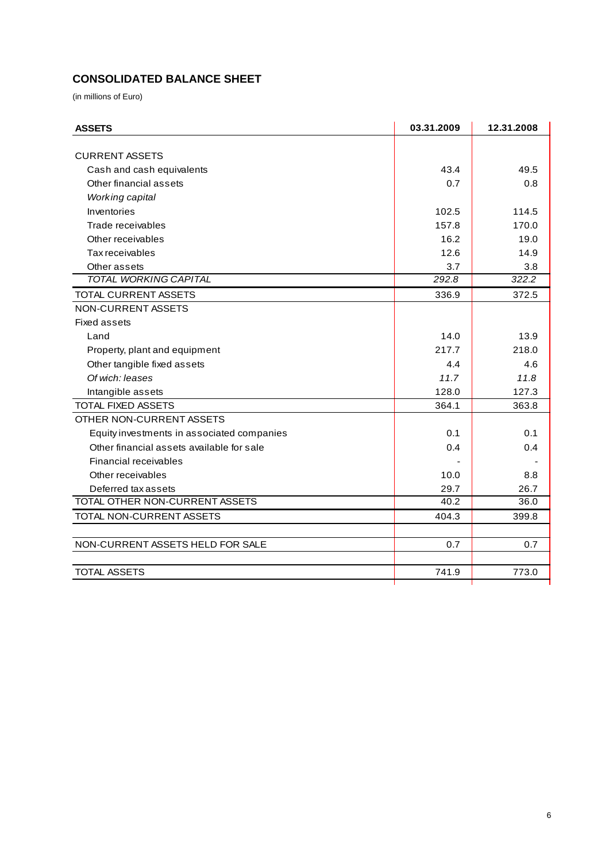# **CONSOLIDATED BALANCE SHEET**

(in millions of Euro)

| <b>ASSETS</b>                              | 03.31.2009 | 12.31.2008 |
|--------------------------------------------|------------|------------|
|                                            |            |            |
| <b>CURRENT ASSETS</b>                      |            |            |
| Cash and cash equivalents                  | 43.4       | 49.5       |
| Other financial assets                     | 0.7        | 0.8        |
| Working capital                            |            |            |
| Inventories                                | 102.5      | 114.5      |
| Trade receivables                          | 157.8      | 170.0      |
| Other receivables                          | 16.2       | 19.0       |
| Tax receivables                            | 12.6       | 14.9       |
| Other assets                               | 3.7        | 3.8        |
| <b>TOTAL WORKING CAPITAL</b>               | 292.8      | 322.2      |
| TOTAL CURRENT ASSETS                       | 336.9      | 372.5      |
| NON-CURRENT ASSETS                         |            |            |
| <b>Fixed assets</b>                        |            |            |
| Land                                       | 14.0       | 13.9       |
| Property, plant and equipment              | 217.7      | 218.0      |
| Other tangible fixed assets                | 4.4        | 4.6        |
| Of wich: leases                            | 11.7       | 11.8       |
| Intangible assets                          | 128.0      | 127.3      |
| TOTAL FIXED ASSETS                         | 364.1      | 363.8      |
| OTHER NON-CURRENT ASSETS                   |            |            |
| Equity investments in associated companies | 0.1        | 0.1        |
| Other financial assets available for sale  | 0.4        | 0.4        |
| Financial receivables                      |            |            |
| Other receivables                          | 10.0       | 8.8        |
| Deferred tax assets                        | 29.7       | 26.7       |
| TOTAL OTHER NON-CURRENT ASSETS             | 40.2       | 36.0       |
| TOTAL NON-CURRENT ASSETS                   | 404.3      | 399.8      |
|                                            |            |            |
| NON-CURRENT ASSETS HELD FOR SALE           | 0.7        | 0.7        |
|                                            |            |            |
| <b>TOTAL ASSETS</b>                        | 741.9      | 773.0      |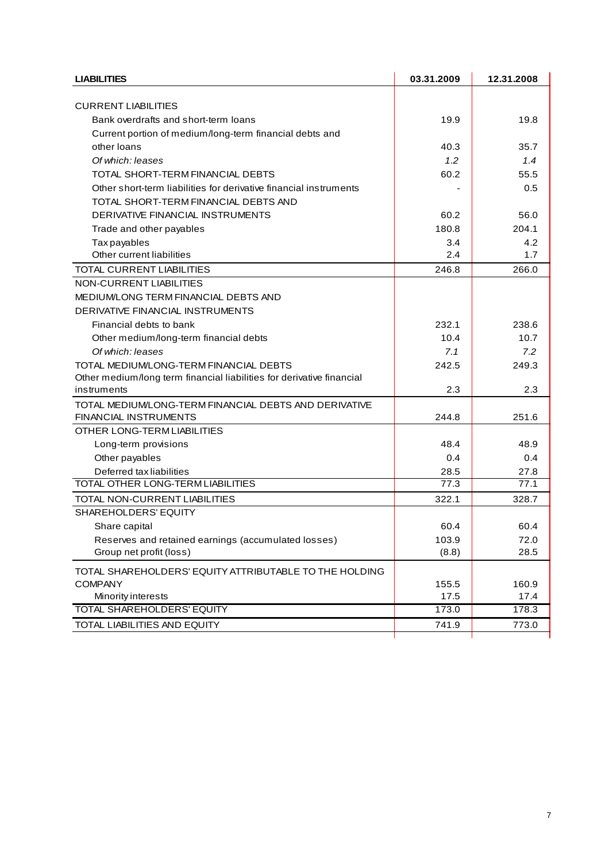| <b>LIABILITIES</b>                                                     | 03.31.2009 | 12.31.2008 |
|------------------------------------------------------------------------|------------|------------|
|                                                                        |            |            |
| <b>CURRENT LIABILITIES</b>                                             | 19.9       | 19.8       |
| Bank overdrafts and short-term loans                                   |            |            |
| Current portion of medium/long-term financial debts and<br>other loans | 40.3       | 35.7       |
|                                                                        |            |            |
| Of which: leases                                                       | 1.2        | 1.4        |
| TOTAL SHORT-TERM FINANCIAL DEBTS                                       | 60.2       | 55.5       |
| Other short-term liabilities for derivative financial instruments      |            | 0.5        |
| TOTAL SHORT-TERM FINANCIAL DEBTS AND                                   |            |            |
| DERIVATIVE FINANCIAL INSTRUMENTS                                       | 60.2       | 56.0       |
| Trade and other payables                                               | 180.8      | 204.1      |
| Tax payables                                                           | 3.4        | 4.2        |
| Other current liabilities                                              | 2.4        | 1.7        |
| TOTAL CURRENT LIABILITIES                                              | 246.8      | 266.0      |
| NON-CURRENT LIABILITIES                                                |            |            |
| MEDIUM/LONG TERM FINANCIAL DEBTS AND                                   |            |            |
| DERIVATIVE FINANCIAL INSTRUMENTS                                       |            |            |
| Financial debts to bank                                                | 232.1      | 238.6      |
| Other medium/long-term financial debts                                 | 10.4       | 10.7       |
| Of which: leases                                                       | 7.1        | 7.2        |
| TOTAL MEDIUM/LONG-TERM FINANCIAL DEBTS                                 | 242.5      | 249.3      |
| Other medium/long term financial liabilities for derivative financial  |            |            |
| instruments                                                            | 2.3        | 2.3        |
| TOTAL MEDIUM/LONG-TERM FINANCIAL DEBTS AND DERIVATIVE                  |            |            |
| FINANCIAL INSTRUMENTS                                                  | 244.8      | 251.6      |
| OTHER LONG-TERM LIABILITIES                                            |            |            |
| Long-term provisions                                                   | 48.4       | 48.9       |
| Other payables                                                         | 0.4        | 0.4        |
| Deferred tax liabilities                                               | 28.5       | 27.8       |
| TOTAL OTHER LONG-TERM LIABILITIES                                      | 77.3       | 77.1       |
| TOTAL NON-CURRENT LIABILITIES                                          | 322.1      | 328.7      |
| SHAREHOLDERS' EQUITY                                                   |            |            |
| Share capital                                                          | 60.4       | 60.4       |
| Reserves and retained earnings (accumulated losses)                    | 103.9      | 72.0       |
| Group net profit (loss)                                                | (8.8)      | 28.5       |
| TOTAL SHAREHOLDERS' EQUITY ATTRIBUTABLE TO THE HOLDING                 |            |            |
| <b>COMPANY</b>                                                         | 155.5      | 160.9      |
| Minority interests                                                     | 17.5       | 17.4       |
| TOTAL SHAREHOLDERS' EQUITY                                             | 173.0      | 178.3      |
| TOTAL LIABILITIES AND EQUITY                                           | 741.9      | 773.0      |
|                                                                        |            |            |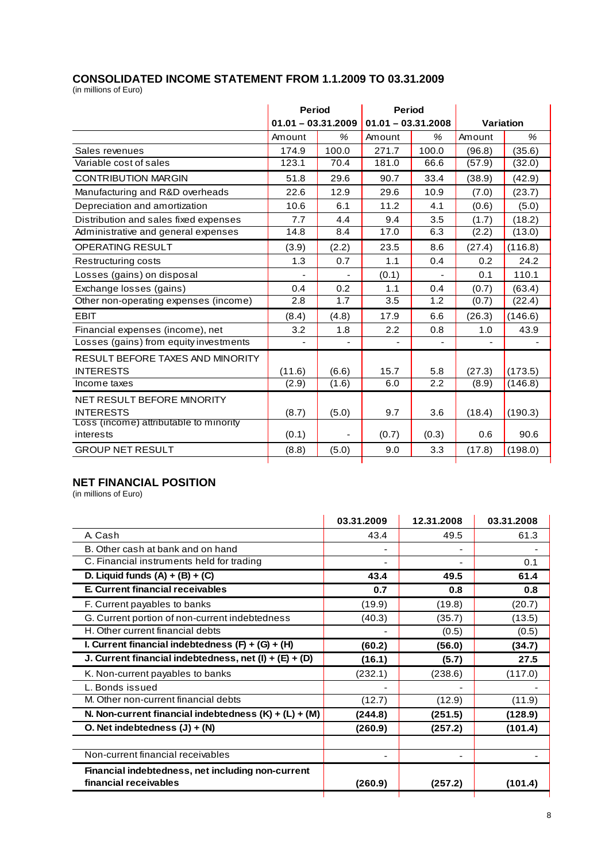## **CONSOLIDATED INCOME STATEMENT FROM 1.1.2009 TO 03.31.2009**

(in millions of Euro)

|                                        | <b>Period</b>        |       | <b>Period</b>        |       |           |         |
|----------------------------------------|----------------------|-------|----------------------|-------|-----------|---------|
|                                        | $01.01 - 03.31.2009$ |       | $01.01 - 03.31.2008$ |       | Variation |         |
|                                        | Amount               | %     | Amount               | %     | Amount    | %       |
| Sales revenues                         | 174.9                | 100.0 | 271.7                | 100.0 | (96.8)    | (35.6)  |
| Variable cost of sales                 | 123.1                | 70.4  | 181.0                | 66.6  | (57.9)    | (32.0)  |
| <b>CONTRIBUTION MARGIN</b>             | 51.8                 | 29.6  | 90.7                 | 33.4  | (38.9)    | (42.9)  |
| Manufacturing and R&D overheads        | 22.6                 | 12.9  | 29.6                 | 10.9  | (7.0)     | (23.7)  |
| Depreciation and amortization          | 10.6                 | 6.1   | 11.2                 | 4.1   | (0.6)     | (5.0)   |
| Distribution and sales fixed expenses  | 7.7                  | 4.4   | 9.4                  | 3.5   | (1.7)     | (18.2)  |
| Administrative and general expenses    | 14.8                 | 8.4   | 17.0                 | 6.3   | (2.2)     | (13.0)  |
| <b>OPERATING RESULT</b>                | (3.9)                | (2.2) | 23.5                 | 8.6   | (27.4)    | (116.8) |
| Restructuring costs                    | 1.3                  | 0.7   | 1.1                  | 0.4   | 0.2       | 24.2    |
| Losses (gains) on disposal             | ÷,                   |       | (0.1)                | ÷,    | 0.1       | 110.1   |
| Exchange losses (gains)                | 0.4                  | 0.2   | 1.1                  | 0.4   | (0.7)     | (63.4)  |
| Other non-operating expenses (income)  | 2.8                  | 1.7   | 3.5                  | 1.2   | (0.7)     | (22.4)  |
| <b>EBIT</b>                            | (8.4)                | (4.8) | 17.9                 | 6.6   | (26.3)    | (146.6) |
| Financial expenses (income), net       | 3.2                  | 1.8   | 2.2                  | 0.8   | 1.0       | 43.9    |
| Losses (gains) from equity investments | $\blacksquare$       |       |                      |       |           |         |
| RESULT BEFORE TAXES AND MINORITY       |                      |       |                      |       |           |         |
| <b>INTERESTS</b>                       | (11.6)               | (6.6) | 15.7                 | 5.8   | (27.3)    | (173.5) |
| Income taxes                           | (2.9)                | (1.6) | 6.0                  | 2.2   | (8.9)     | (146.8) |
| NET RESULT BEFORE MINORITY             |                      |       |                      |       |           |         |
| <b>INTERESTS</b>                       | (8.7)                | (5.0) | 9.7                  | 3.6   | (18.4)    | (190.3) |
| Loss (income) attributable to minority |                      |       |                      |       |           |         |
| interests                              | (0.1)                |       | (0.7)                | (0.3) | 0.6       | 90.6    |
| <b>GROUP NET RESULT</b>                | (8.8)                | (5.0) | 9.0                  | 3.3   | (17.8)    | (198.0) |

# **NET FINANCIAL POSITION**

(in millions of Euro)

|                                                                            | 03.31.2009 | 12.31.2008 | 03.31.2008 |
|----------------------------------------------------------------------------|------------|------------|------------|
| A. Cash                                                                    | 43.4       | 49.5       | 61.3       |
| B. Other cash at bank and on hand                                          |            |            |            |
| C. Financial instruments held for trading                                  |            |            | 0.1        |
| D. Liquid funds $(A) + (B) + (C)$                                          | 43.4       | 49.5       | 61.4       |
| E. Current financial receivables                                           | 0.7        | 0.8        | 0.8        |
| F. Current payables to banks                                               | (19.9)     | (19.8)     | (20.7)     |
| G. Current portion of non-current indebtedness                             | (40.3)     | (35.7)     | (13.5)     |
| H. Other current financial debts                                           |            | (0.5)      | (0.5)      |
| I. Current financial indebtedness $(F) + (G) + (H)$                        | (60.2)     | (56.0)     | (34.7)     |
| J. Current financial indebtedness, net $(l) + (E) + (D)$                   | (16.1)     | (5.7)      | 27.5       |
| K. Non-current payables to banks                                           | (232.1)    | (238.6)    | (117.0)    |
| L. Bonds issued                                                            |            |            |            |
| M. Other non-current financial debts                                       | (12.7)     | (12.9)     | (11.9)     |
| N. Non-current financial indebtedness $(K) + (L) + (M)$                    | (244.8)    | (251.5)    | (128.9)    |
| O. Net indebtedness $(J) + (N)$                                            | (260.9)    | (257.2)    | (101.4)    |
| Non-current financial receivables                                          |            |            |            |
| Financial indebtedness, net including non-current<br>financial receivables | (260.9)    | (257.2)    | (101.4)    |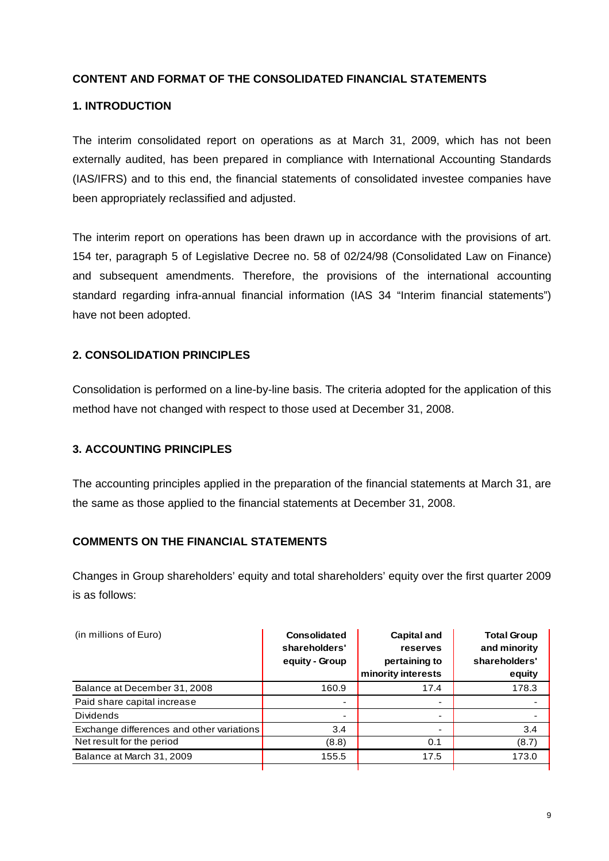## **CONTENT AND FORMAT OF THE CONSOLIDATED FINANCIAL STATEMENTS**

### **1. INTRODUCTION**

The interim consolidated report on operations as at March 31, 2009, which has not been externally audited, has been prepared in compliance with International Accounting Standards (IAS/IFRS) and to this end, the financial statements of consolidated investee companies have been appropriately reclassified and adjusted.

The interim report on operations has been drawn up in accordance with the provisions of art. 154 ter, paragraph 5 of Legislative Decree no. 58 of 02/24/98 (Consolidated Law on Finance) and subsequent amendments. Therefore, the provisions of the international accounting standard regarding infra-annual financial information (IAS 34 "Interim financial statements") have not been adopted.

### **2. CONSOLIDATION PRINCIPLES**

Consolidation is performed on a line-by-line basis. The criteria adopted for the application of this method have not changed with respect to those used at December 31, 2008.

#### **3. ACCOUNTING PRINCIPLES**

The accounting principles applied in the preparation of the financial statements at March 31, are the same as those applied to the financial statements at December 31, 2008.

#### **COMMENTS ON THE FINANCIAL STATEMENTS**

Changes in Group shareholders' equity and total shareholders' equity over the first quarter 2009 is as follows:

| (in millions of Euro)                     | <b>Consolidated</b><br>shareholders'<br>equity - Group | <b>Capital and</b><br>reserves<br>pertaining to<br>minority interests | <b>Total Group</b><br>and minority<br>shareholders'<br>equity |
|-------------------------------------------|--------------------------------------------------------|-----------------------------------------------------------------------|---------------------------------------------------------------|
| Balance at December 31, 2008              | 160.9                                                  | 17.4                                                                  | 178.3                                                         |
| Paid share capital increase               | $\,$                                                   | -                                                                     |                                                               |
| <b>Dividends</b>                          | $\,$                                                   | -                                                                     |                                                               |
| Exchange differences and other variations | 3.4                                                    |                                                                       | 3.4                                                           |
| Net result for the period                 | (8.8)                                                  | 0.1                                                                   | (8.7)                                                         |
| Balance at March 31, 2009                 | 155.5                                                  | 17.5                                                                  | 173.0                                                         |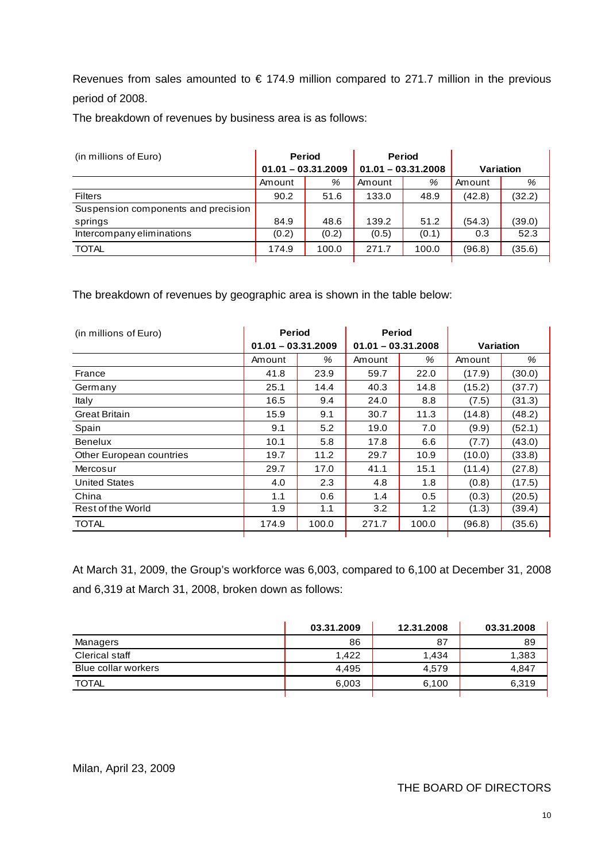Revenues from sales amounted to  $\epsilon$  174.9 million compared to 271.7 million in the previous period of 2008.

The breakdown of revenues by business area is as follows:

| (in millions of Euro)               | <b>Period</b><br>$01.01 - 03.31.2009$ |       | <b>Period</b><br>$01.01 - 03.31.2008$ |       | Variation |        |
|-------------------------------------|---------------------------------------|-------|---------------------------------------|-------|-----------|--------|
|                                     | Amount                                | %     | Amount                                | %     | Amount    | %      |
| <b>Filters</b>                      | 90.2                                  | 51.6  | 133.0                                 | 48.9  | (42.8)    | (32.2) |
| Suspension components and precision |                                       |       |                                       |       |           |        |
| springs                             | 84.9                                  | 48.6  | 139.2                                 | 51.2  | (54.3)    | (39.0) |
| Intercompany eliminations           | (0.2)                                 | (0.2) | (0.5)                                 | (0.1) | 0.3       | 52.3   |
| <b>TOTAL</b>                        | 174.9                                 | 100.0 | 271.7                                 | 100.0 | (96.8)    | (35.6) |
|                                     |                                       |       |                                       |       |           |        |

The breakdown of revenues by geographic area is shown in the table below:

| (in millions of Euro)    | <b>Period</b>        |       | <b>Period</b>        |       |                  |        |
|--------------------------|----------------------|-------|----------------------|-------|------------------|--------|
|                          | $01.01 - 03.31.2009$ |       | $01.01 - 03.31.2008$ |       | <b>Variation</b> |        |
|                          | Amount               | %     | Amount               | %     | Amount           | %      |
| France                   | 41.8                 | 23.9  | 59.7                 | 22.0  | (17.9)           | (30.0) |
| Germany                  | 25.1                 | 14.4  | 40.3                 | 14.8  | (15.2)           | (37.7) |
| Italy                    | 16.5                 | 9.4   | 24.0                 | 8.8   | (7.5)            | (31.3) |
| <b>Great Britain</b>     | 15.9                 | 9.1   | 30.7                 | 11.3  | (14.8)           | (48.2) |
| Spain                    | 9.1                  | 5.2   | 19.0                 | 7.0   | (9.9)            | (52.1) |
| Benelux                  | 10.1                 | 5.8   | 17.8                 | 6.6   | (7.7)            | (43.0) |
| Other European countries | 19.7                 | 11.2  | 29.7                 | 10.9  | (10.0)           | (33.8) |
| Mercosur                 | 29.7                 | 17.0  | 41.1                 | 15.1  | (11.4)           | (27.8) |
| <b>United States</b>     | 4.0                  | 2.3   | 4.8                  | 1.8   | (0.8)            | (17.5) |
| China                    | 1.1                  | 0.6   | 1.4                  | 0.5   | (0.3)            | (20.5) |
| Rest of the World        | 1.9                  | 1.1   | 3.2                  | 1.2   | (1.3)            | (39.4) |
| <b>TOTAL</b>             | 174.9                | 100.0 | 271.7                | 100.0 | (96.8)           | (35.6) |

At March 31, 2009, the Group's workforce was 6,003, compared to 6,100 at December 31, 2008 and 6,319 at March 31, 2008, broken down as follows:

|                     | 03.31.2009 | 12.31.2008 | 03.31.2008 |
|---------------------|------------|------------|------------|
| Managers            | 86         | 87         | 89         |
| Clerical staff      | 1.422      | 1.434      | 1,383      |
| Blue collar workers | 4.495      | 4.579      | 4.847      |
| TOTAL               | 6,003      | 6,100      | 6,319      |
|                     |            |            |            |